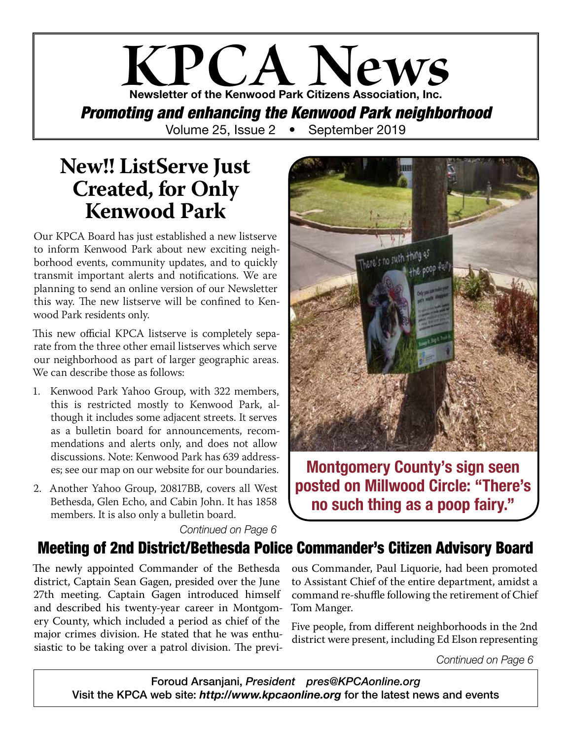### **KPCA News** Newsletter of the Kenwood Park Citizens Association, Inc. *Promoting and enhancing the Kenwood Park neighborhood* Volume 25, Issue 2 • September 2019

### **New!! ListServe Just Created, for Only Kenwood Park**

Our KPCA Board has just established a new listserve to inform Kenwood Park about new exciting neighborhood events, community updates, and to quickly transmit important alerts and notifications. We are planning to send an online version of our Newsletter this way. The new listserve will be confined to Kenwood Park residents only.

This new official KPCA listserve is completely separate from the three other email listserves which serve our neighborhood as part of larger geographic areas. We can describe those as follows:

- 1. Kenwood Park Yahoo Group, with 322 members, this is restricted mostly to Kenwood Park, although it includes some adjacent streets. It serves as a bulletin board for announcements, recommendations and alerts only, and does not allow discussions. Note: Kenwood Park has 639 addresses; see our map on our website for our boundaries.
- 2. Another Yahoo Group, 20817BB, covers all West Bethesda, Glen Echo, and Cabin John. It has 1858 members. It is also only a bulletin board.



Montgomery County's sign seen posted on Millwood Circle: "There's no such thing as a poop fairy."

*Continued on Page 6*

### Meeting of 2nd District/Bethesda Police Commander's Citizen Advisory Board

The newly appointed Commander of the Bethesda district, Captain Sean Gagen, presided over the June 27th meeting. Captain Gagen introduced himself and described his twenty-year career in Montgomery County, which included a period as chief of the major crimes division. He stated that he was enthusiastic to be taking over a patrol division. The previ-

ous Commander, Paul Liquorie, had been promoted to Assistant Chief of the entire department, amidst a command re-shuffle following the retirement of Chief Tom Manger.

Five people, from different neighborhoods in the 2nd district were present, including Ed Elson representing

*Continued on Page 6*

Foroud Arsanjani, *President pres@KPCAonline.org* Visit the KPCA web site: *http://www.kpcaonline.org* for the latest news and events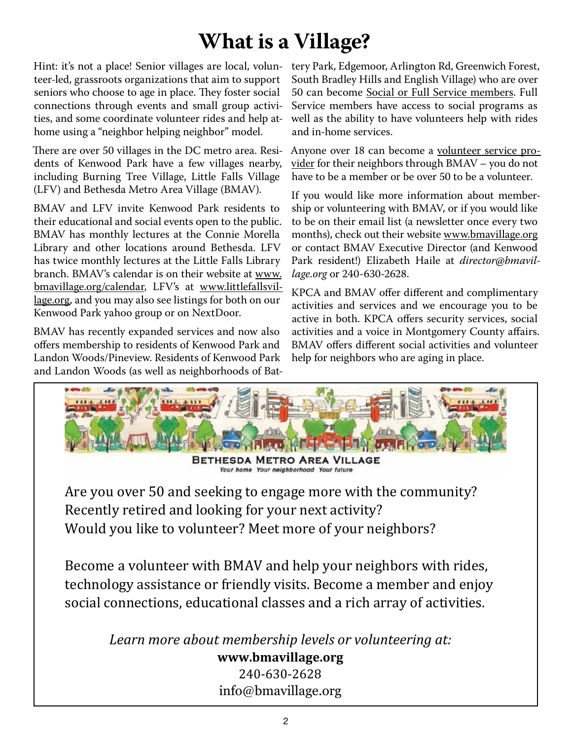### **What is a Village?**

Hint: it's not a place! Senior villages are local, volunteer-led, grassroots organizations that aim to support seniors who choose to age in place. They foster social connections through events and small group activities, and some coordinate volunteer rides and help athome using a "neighbor helping neighbor" model.

There are over 50 villages in the DC metro area. Residents of Kenwood Park have a few villages nearby, including Burning Tree Village, Little Falls Village (LFV) and Bethesda Metro Area Village (BMAV).

BMAV and LFV invite Kenwood Park residents to their educational and social events open to the public. BMAV has monthly lectures at the Connie Morella Library and other locations around Bethesda. LFV has twice monthly lectures at the Little Falls Library branch. BMAV's calendar is on their website at www. bmavillage.org/calendar, LFV's at www.littlefallsvillage.org, and you may also see listings for both on our Kenwood Park yahoo group or on NextDoor.

BMAV has recently expanded services and now also offers membership to residents of Kenwood Park and Landon Woods/Pineview. Residents of Kenwood Park and Landon Woods (as well as neighborhoods of Battery Park, Edgemoor, Arlington Rd, Greenwich Forest, South Bradley Hills and English Village) who are over 50 can become Social or Full Service members. Full Service members have access to social programs as well as the ability to have volunteers help with rides and in-home services.

Anyone over 18 can become a volunteer service provider for their neighbors through BMAV – you do not have to be a member or be over 50 to be a volunteer.

If you would like more information about membership or volunteering with BMAV, or if you would like to be on their email list (a newsletter once every two months), check out their website www.bmavillage.org or contact BMAV Executive Director (and Kenwood Park resident!) Elizabeth Haile at *director@bmavillage.org* or 240-630-2628.

KPCA and BMAV offer different and complimentary activities and services and we encourage you to be active in both. KPCA offers security services, social activities and a voice in Montgomery County affairs. BMAV offers different social activities and volunteer help for neighbors who are aging in place.



240-630-2628 info@bmavillage.org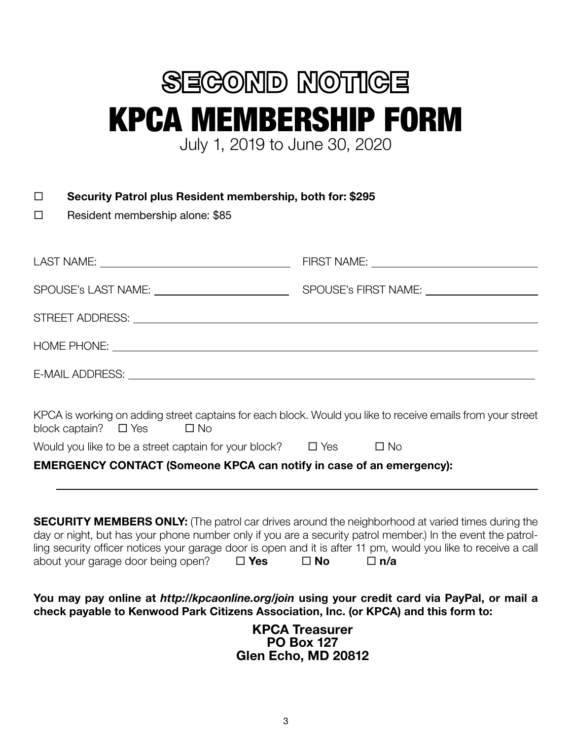# **SEGOND NOTIGE** KPCA MEMBERSHIP FORM July 1, 2019 to June 30, 2020

□ Security Patrol plus Resident membership, both for: \$295

 $\square$  Resident membership alone: \$85

| KPCA is working on adding street captains for each block. Would you like to receive emails from your street<br>block captain? $\Box$ Yes $\Box$ No                                                                                                                                                         |  |
|------------------------------------------------------------------------------------------------------------------------------------------------------------------------------------------------------------------------------------------------------------------------------------------------------------|--|
| Would you like to be a street captain for your block? $\Box$ Yes $\Box$ No                                                                                                                                                                                                                                 |  |
| <b>EMERGENCY CONTACT (Someone KPCA can notify in case of an emergency):</b>                                                                                                                                                                                                                                |  |
| ,我们也不能在这里的时候,我们也不能在这里的时候,我们也不能会在这里的时候,我们也不能会在这里的时候,我们也不能会在这里的时候,我们也不能会在这里的时候,我们也<br><b>SECURITY MEMBERS ONLY:</b> (The patrol car drives around the neighborhood at varied times during the<br>day or night, but has your phone number only if you are a security patrol member.) In the event the patrol- |  |
| ling security officer notices your garage door is open and it is after 11 pm, would you like to receive a call<br>about your garage door being open? $\square$ Yes $\square$ No $\square$ n/a                                                                                                              |  |

You may pay online at *http://kpcaonline.org/join* using your credit card via PayPal, or mail a check payable to Kenwood Park Citizens Association, Inc. (or KPCA) and this form to:

> KPCA Treasurer PO Box 127 Glen Echo, MD 20812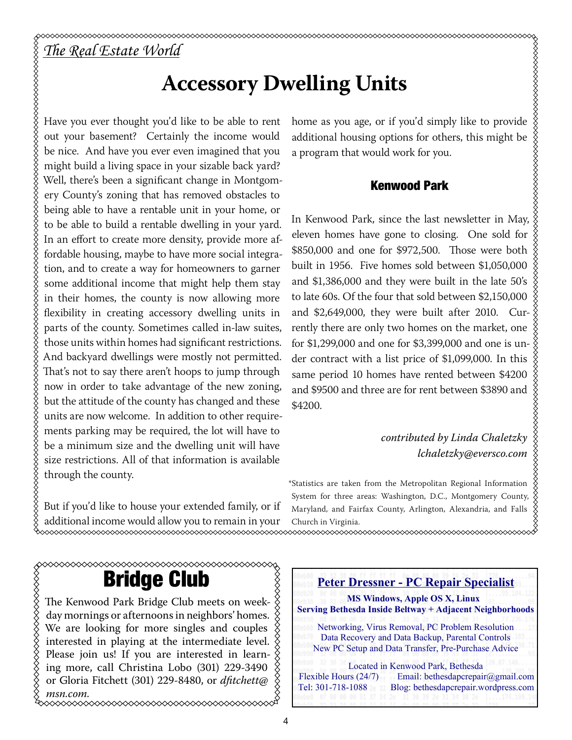#### *The Real Estate World*

**XXXXXXXXXXXXXXX** 

### **Accessory Dwelling Units**

Have you ever thought you'd like to be able to rent out your basement? Certainly the income would be nice. And have you ever even imagined that you might build a living space in your sizable back yard? Well, there's been a significant change in Montgomery County's zoning that has removed obstacles to being able to have a rentable unit in your home, or to be able to build a rentable dwelling in your yard. In an effort to create more density, provide more affordable housing, maybe to have more social integration, and to create a way for homeowners to garner some additional income that might help them stay in their homes, the county is now allowing more flexibility in creating accessory dwelling units in parts of the county. Sometimes called in-law suites, those units within homes had significant restrictions. And backyard dwellings were mostly not permitted. That's not to say there aren't hoops to jump through now in order to take advantage of the new zoning, but the attitude of the county has changed and these units are now welcome. In addition to other requirements parking may be required, the lot will have to be a minimum size and the dwelling unit will have size restrictions. All of that information is available through the county.

But if you'd like to house your extended family, or if additional income would allow you to remain in your Church in Virginia.<br>https://www.com/www.com/www.com/www.com/www.com/www.com/www.com/www.com/www.com/

home as you age, or if you'd simply like to provide additional housing options for others, this might be a program that would work for you.

#### Kenwood Park

In Kenwood Park, since the last newsletter in May, eleven homes have gone to closing. One sold for \$850,000 and one for \$972,500. Those were both built in 1956. Five homes sold between \$1,050,000 and \$1,386,000 and they were built in the late 50's to late 60s. Of the four that sold between \$2,150,000 and \$2,649,000, they were built after 2010. Currently there are only two homes on the market, one for \$1,299,000 and one for \$3,399,000 and one is under contract with a list price of \$1,099,000. In this same period 10 homes have rented between \$4200 and \$9500 and three are for rent between \$3890 and \$4200.

#### *contributed by Linda Chaletzky lchaletzky@eversco.com*

\*Statistics are taken from the Metropolitan Regional Information System for three areas: Washington, D.C., Montgomery County, Maryland, and Fairfax County, Arlington, Alexandria, and Falls Church in Virginia.

### Bridge Club

The Kenwood Park Bridge Club meets on weekday mornings or afternoons in neighbors' homes. We are looking for more singles and couples XXXXXXXXX interested in playing at the intermediate level. Please join us! If you are interested in learning more, call Christina Lobo (301) 229-3490 or Gloria Fitchett (301) 229-8480, or *dfitchett@ msn.com.*

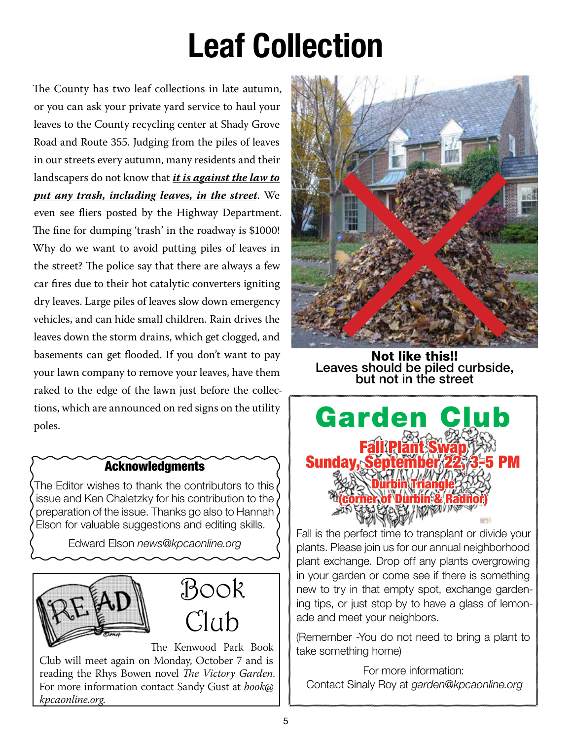# Leaf Collection

The County has two leaf collections in late autumn, or you can ask your private yard service to haul your leaves to the County recycling center at Shady Grove Road and Route 355. Judging from the piles of leaves in our streets every autumn, many residents and their landscapers do not know that *it is against the law to put any trash, including leaves, in the street*. We even see fliers posted by the Highway Department. The fine for dumping 'trash' in the roadway is \$1000! Why do we want to avoid putting piles of leaves in the street? The police say that there are always a few car fires due to their hot catalytic converters igniting dry leaves. Large piles of leaves slow down emergency vehicles, and can hide small children. Rain drives the leaves down the storm drains, which get clogged, and basements can get flooded. If you don't want to pay your lawn company to remove your leaves, have them raked to the edge of the lawn just before the collections, which are announced on red signs on the utility poles.

#### **Acknowledgments**

The Editor wishes to thank the contributors to this issue and Ken Chaletzky for his contribution to the preparation of the issue. Thanks go also to Hannah Elson for valuable suggestions and editing skills.

Edward Elson *news@kpcaonline.org*





The Kenwood Park Book Club will meet again on Monday, October 7 and is reading the Rhys Bowen novel *The Victory Garden*. For more information contact Sandy Gust at *book@ kpcaonline.org*.



Not like this!! Leaves should be piled curbside, but not in the street



Fall is the perfect time to transplant or divide your plants. Please join us for our annual neighborhood plant exchange. Drop off any plants overgrowing in your garden or come see if there is something new to try in that empty spot, exchange gardening tips, or just stop by to have a glass of lemonade and meet your neighbors.

(Remember -You do not need to bring a plant to take something home)

For more information: Contact Sinaly Roy at *garden@kpcaonline.org*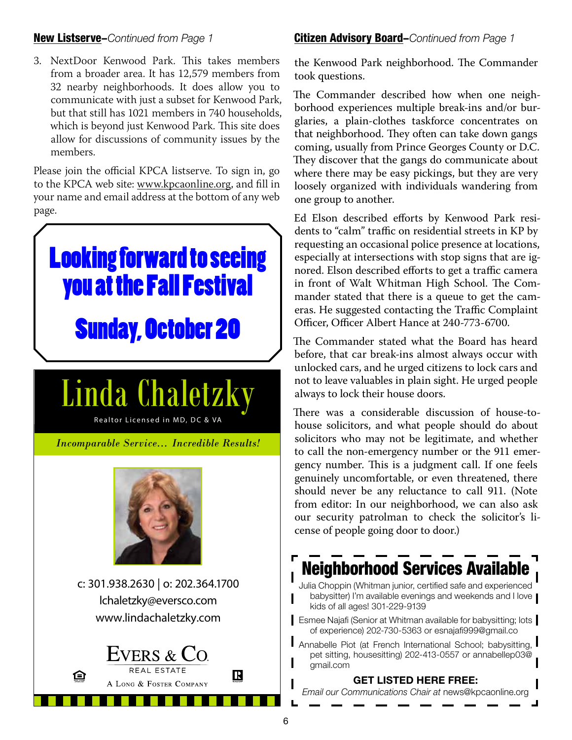#### New Listserve–*Continued from Page 1*

3. NextDoor Kenwood Park. This takes members from a broader area. It has 12,579 members from 32 nearby neighborhoods. It does allow you to communicate with just a subset for Kenwood Park, but that still has 1021 members in 740 households, which is beyond just Kenwood Park. This site does allow for discussions of community issues by the members.

Please join the official KPCA listserve. To sign in, go to the KPCA web site: www.kpcaonline.org, and fill in your name and email address at the bottom of any web page.



#### Citizen Advisory Board–*Continued from Page 1*

the Kenwood Park neighborhood. The Commander took questions.

The Commander described how when one neighborhood experiences multiple break-ins and/or burglaries, a plain-clothes taskforce concentrates on that neighborhood. They often can take down gangs coming, usually from Prince Georges County or D.C. They discover that the gangs do communicate about where there may be easy pickings, but they are very loosely organized with individuals wandering from one group to another.

Ed Elson described efforts by Kenwood Park residents to "calm" traffic on residential streets in KP by requesting an occasional police presence at locations, especially at intersections with stop signs that are ignored. Elson described efforts to get a traffic camera in front of Walt Whitman High School. The Commander stated that there is a queue to get the cameras. He suggested contacting the Traffic Complaint Officer, Officer Albert Hance at 240-773-6700.

The Commander stated what the Board has heard before, that car break-ins almost always occur with unlocked cars, and he urged citizens to lock cars and not to leave valuables in plain sight. He urged people always to lock their house doors.

There was a considerable discussion of house-tohouse solicitors, and what people should do about solicitors who may not be legitimate, and whether to call the non-emergency number or the 911 emergency number. This is a judgment call. If one feels genuinely uncomfortable, or even threatened, there should never be any reluctance to call 911. (Note from editor: In our neighborhood, we can also ask our security patrolman to check the solicitor's license of people going door to door.)

### Neighborhood Services Available

Julia Choppin (Whitman junior, certified safe and experienced babysitter) I'm available evenings and weekends and I love kids of all ages! 301-229-9139

**Esmee Najafi (Senior at Whitman available for babysitting; lots** of experience) 202-730-5363 or esnajafi999@gmail.co

Annabelle Piot (at French International School; babysitting, I pet sitting, housesitting) 202-413-0557 or annabellep03@ gmail.com

GET LISTED HERE FREE:

*Email our Communications Chair at* news@kpcaonline.org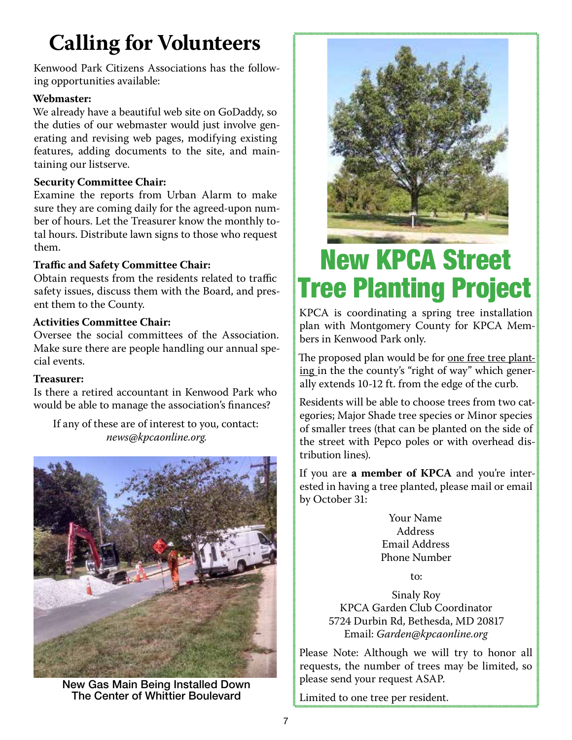## **Calling for Volunteers**

Kenwood Park Citizens Associations has the following opportunities available:

#### **Webmaster:**

We already have a beautiful web site on GoDaddy, so the duties of our webmaster would just involve generating and revising web pages, modifying existing features, adding documents to the site, and maintaining our listserve.

#### **Security Committee Chair:**

Examine the reports from Urban Alarm to make sure they are coming daily for the agreed-upon number of hours. Let the Treasurer know the monthly total hours. Distribute lawn signs to those who request them.

#### **Traffic and Safety Committee Chair:**

Obtain requests from the residents related to traffic safety issues, discuss them with the Board, and present them to the County.

#### **Activities Committee Chair:**

Oversee the social committees of the Association. Make sure there are people handling our annual special events.

#### **Treasurer:**

Is there a retired accountant in Kenwood Park who would be able to manage the association's finances?

If any of these are of interest to you, contact: *news@kpcaonline.org.*



New Gas Main Being Installed Down The Center of Whittier Boulevard



# New KPCA Street Tree Planting Project

KPCA is coordinating a spring tree installation plan with Montgomery County for KPCA Members in Kenwood Park only.

The proposed plan would be for one free tree planting in the the county's "right of way" which generally extends 10-12 ft. from the edge of the curb.

Residents will be able to choose trees from two categories; Major Shade tree species or Minor species of smaller trees (that can be planted on the side of the street with Pepco poles or with overhead distribution lines).

If you are **a member of KPCA** and you're interested in having a tree planted, please mail or email by October 31:

> Your Name Address Email Address Phone Number

> > $t^{\alpha}$

Sinaly Roy KPCA Garden Club Coordinator 5724 Durbin Rd, Bethesda, MD 20817 Email: *Garden@kpcaonline.org*

Please Note: Although we will try to honor all requests, the number of trees may be limited, so please send your request ASAP.

Limited to one tree per resident.